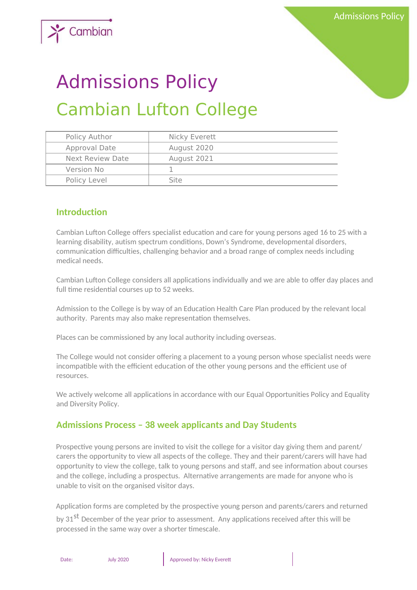

# Admissions Policy Cambian Lufton College

| Policy Author           | Nicky Everett |
|-------------------------|---------------|
| Approval Date           | August 2020   |
| <b>Next Review Date</b> | August 2021   |
| Version No              |               |
| Policy Level            | Site          |

### **Introduction**

Cambian Lufton College offers specialist education and care for young persons aged 16 to 25 with a learning disability, autism spectrum conditions, Down's Syndrome, developmental disorders, communication difficulties, challenging behavior and a broad range of complex needs including medical needs.

Cambian Lufton College considers all applications individually and we are able to offer day places and full time residential courses up to 52 weeks.

Admission to the College is by way of an Education Health Care Plan produced by the relevant local authority. Parents may also make representation themselves.

Places can be commissioned by any local authority including overseas.

The College would not consider offering a placement to a young person whose specialist needs were incompatible with the efficient education of the other young persons and the efficient use of resources.

We actively welcome all applications in accordance with our Equal Opportunities Policy and Equality and Diversity Policy.

# **Admissions Process – 38 week applicants and Day Students**

Prospective young persons are invited to visit the college for a visitor day giving them and parent/ carers the opportunity to view all aspects of the college. They and their parent/carers will have had opportunity to view the college, talk to young persons and staff, and see information about courses and the college, including a prospectus. Alternative arrangements are made for anyone who is unable to visit on the organised visitor days.

Application forms are completed by the prospective young person and parents/carers and returned by 31<sup>st</sup> December of the year prior to assessment. Any applications received after this will be processed in the same way over a shorter timescale.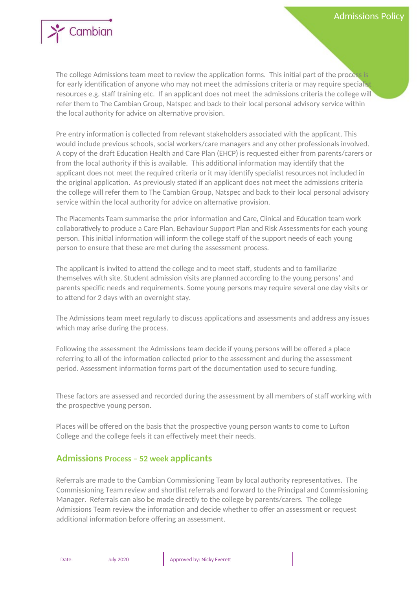

The college Admissions team meet to review the application forms. This initial part of the process is for early identification of anyone who may not meet the admissions criteria or may require specialist resources e.g. staff training etc. If an applicant does not meet the admissions criteria the college will refer them to The Cambian Group, Natspec and back to their local personal advisory service within the local authority for advice on alternative provision.

Pre entry information is collected from relevant stakeholders associated with the applicant. This would include previous schools, social workers/care managers and any other professionals involved. A copy of the draft Education Health and Care Plan (EHCP) is requested either from parents/carers or from the local authority if this is available. This additional information may identify that the applicant does not meet the required criteria or it may identify specialist resources not included in the original application. As previously stated if an applicant does not meet the admissions criteria the college will refer them to The Cambian Group, Natspec and back to their local personal advisory service within the local authority for advice on alternative provision.

The Placements Team summarise the prior information and Care, Clinical and Education team work collaboratively to produce a Care Plan, Behaviour Support Plan and Risk Assessments for each young person. This initial information will inform the college staff of the support needs of each young person to ensure that these are met during the assessment process.

The applicant is invited to attend the college and to meet staff, students and to familiarize themselves with site. Student admission visits are planned according to the young persons' and parents specific needs and requirements. Some young persons may require several one day visits or to attend for 2 days with an overnight stay.

The Admissions team meet regularly to discuss applications and assessments and address any issues which may arise during the process.

Following the assessment the Admissions team decide if young persons will be offered a place referring to all of the information collected prior to the assessment and during the assessment period. Assessment information forms part of the documentation used to secure funding.

These factors are assessed and recorded during the assessment by all members of staff working with the prospective young person.

Places will be offered on the basis that the prospective young person wants to come to Lufton College and the college feels it can effectively meet their needs.

#### **Admissions Process – 52 week applicants**

Referrals are made to the Cambian Commissioning Team by local authority representatives. The Commissioning Team review and shortlist referrals and forward to the Principal and Commissioning Manager. Referrals can also be made directly to the college by parents/carers. The college Admissions Team review the information and decide whether to offer an assessment or request additional information before offering an assessment.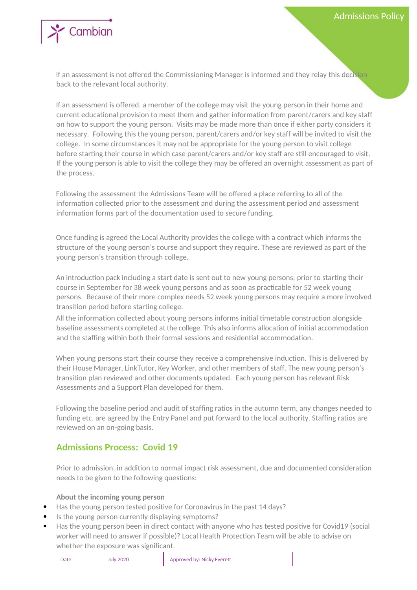

If an assessment is not offered the Commissioning Manager is informed and they relay this decision back to the relevant local authority.

If an assessment is offered, a member of the college may visit the young person in their home and current educational provision to meet them and gather information from parent/carers and key staff on how to support the young person. Visits may be made more than once if either party considers it necessary. Following this the young person, parent/carers and/or key staff will be invited to visit the college. In some circumstances it may not be appropriate for the young person to visit college before starting their course in which case parent/carers and/or key staff are still encouraged to visit. If the young person is able to visit the college they may be offered an overnight assessment as part of the process.

Following the assessment the Admissions Team will be offered a place referring to all of the information collected prior to the assessment and during the assessment period and assessment information forms part of the documentation used to secure funding.

Once funding is agreed the Local Authority provides the college with a contract which informs the structure of the young person's course and support they require. These are reviewed as part of the young person's transition through college.

An introduction pack including a start date is sent out to new young persons; prior to starting their course in September for 38 week young persons and as soon as practicable for 52 week young persons. Because of their more complex needs 52 week young persons may require a more involved transition period before starting college.

All the information collected about young persons informs initial timetable construction alongside baseline assessments completed at the college. This also informs allocation of initial accommodation and the staffing within both their formal sessions and residential accommodation.

When young persons start their course they receive a comprehensive induction. This is delivered by their House Manager, LinkTutor, Key Worker, and other members of staff. The new young person's transition plan reviewed and other documents updated. Each young person has relevant Risk Assessments and a Support Plan developed for them.

Following the baseline period and audit of staffing ratios in the autumn term, any changes needed to funding etc. are agreed by the Entry Panel and put forward to the local authority. Staffing ratios are reviewed on an on-going basis.

# **Admissions Process: Covid 19**

Prior to admission, in addition to normal impact risk assessment, due and documented consideration needs to be given to the following questions:

#### **About the incoming young person**

- Has the young person tested positive for Coronavirus in the past 14 days?
- Is the young person currently displaying symptoms?
- Has the young person been in direct contact with anyone who has tested positive for Covid19 (social worker will need to answer if possible)? Local Health Protection Team will be able to advise on whether the exposure was significant.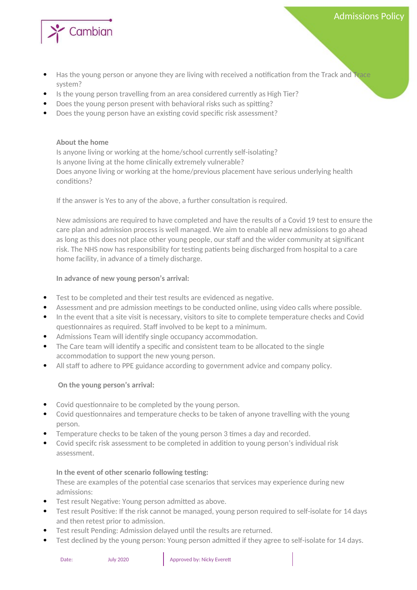

Has the young person or anyone they are living with received a notification from the Track and Trace system?

Admissions Policy

- Is the young person travelling from an area considered currently as High Tier?
- Does the young person present with behavioral risks such as spitting?
- Does the young person have an existing covid specific risk assessment?

#### **About the home**

Is anyone living or working at the home/school currently self-isolating? Is anyone living at the home clinically extremely vulnerable? Does anyone living or working at the home/previous placement have serious underlying health conditions?

If the answer is Yes to any of the above, a further consultation is required.

New admissions are required to have completed and have the results of a Covid 19 test to ensure the care plan and admission process is well managed. We aim to enable all new admissions to go ahead as long as this does not place other young people, our staff and the wider community at significant risk. The NHS now has responsibility for testing patients being discharged from hospital to a care home facility, in advance of a timely discharge.

#### **In advance of new young person's arrival:**

- Test to be completed and their test results are evidenced as negative.
- Assessment and pre admission meetings to be conducted online, using video calls where possible.
- In the event that a site visit is necessary, visitors to site to complete temperature checks and Covid questionnaires as required. Staff involved to be kept to a minimum.
- Admissions Team will identify single occupancy accommodation.
- The Care team will identify a specific and consistent team to be allocated to the single accommodation to support the new young person.
- All staff to adhere to PPE guidance according to government advice and company policy.

#### **On the young person's arrival:**

- Covid questionnaire to be completed by the young person.
- Covid questionnaires and temperature checks to be taken of anyone travelling with the young person.
- Temperature checks to be taken of the young person 3 times a day and recorded.
- Covid specifc risk assessment to be completed in addition to young person's individual risk assessment.

#### **In the event of other scenario following testing:**

These are examples of the potential case scenarios that services may experience during new admissions:

- Test result Negative: Young person admitted as above.
- Test result Positive: If the risk cannot be managed, young person required to self-isolate for 14 days and then retest prior to admission.
- Test result Pending: Admission delayed until the results are returned.
- Test declined by the young person: Young person admitted if they agree to self-isolate for 14 days.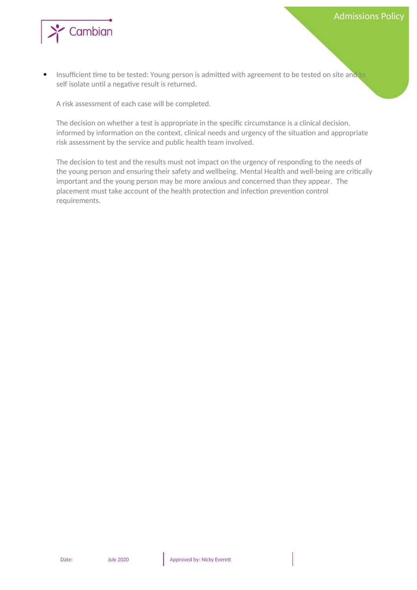

 Insufficient time to be tested: Young person is admitted with agreement to be tested on site and to self isolate until a negative result is returned.

A risk assessment of each case will be completed.

The decision on whether a test is appropriate in the specific circumstance is a clinical decision, informed by information on the context, clinical needs and urgency of the situation and appropriate risk assessment by the service and public health team involved.

The decision to test and the results must not impact on the urgency of responding to the needs of the young person and ensuring their safety and wellbeing. Mental Health and well-being are critically important and the young person may be more anxious and concerned than they appear. The placement must take account of the health protection and infection prevention control requirements.